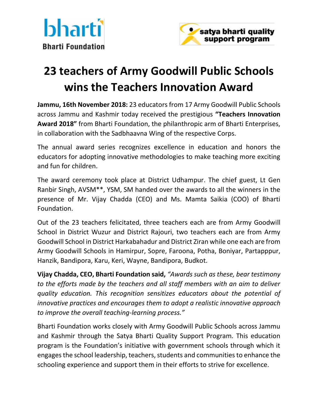



## **23 teachers of Army Goodwill Public Schools wins the Teachers Innovation Award**

**Jammu, 16th November 2018:** 23 educators from 17 Army Goodwill Public Schools across Jammu and Kashmir today received the prestigious **"Teachers Innovation Award 2018"** from Bharti Foundation, the philanthropic arm of Bharti Enterprises, in collaboration with the Sadbhaavna Wing of the respective Corps.

The annual award series recognizes excellence in education and honors the educators for adopting innovative methodologies to make teaching more exciting and fun for children.

The award ceremony took place at District Udhampur. The chief guest, Lt Gen Ranbir Singh, AVSM\*\*, YSM, SM handed over the awards to all the winners in the presence of Mr. Vijay Chadda (CEO) and Ms. Mamta Saikia (COO) of Bharti Foundation.

Out of the 23 teachers felicitated, three teachers each are from Army Goodwill School in District Wuzur and District Rajouri, two teachers each are from Army Goodwill School in District Harkabahadur and District Ziran while one each are from Army Goodwill Schools in Hamirpur, Sopre, Faroona, Potha, Boniyar, Partapppur, Hanzik, Bandipora, Karu, Keri, Wayne, Bandipora, Budkot.

**Vijay Chadda, CEO, Bharti Foundation said,** *"Awards such as these, bear testimony to the efforts made by the teachers and all staff members with an aim to deliver quality education. This recognition sensitizes educators about the potential of innovative practices and encourages them to adopt a realistic innovative approach to improve the overall teaching-learning process."*

Bharti Foundation works closely with Army Goodwill Public Schools across Jammu and Kashmir through the Satya Bharti Quality Support Program. This education program is the Foundation's initiative with government schools through which it engages the school leadership, teachers, students and communities to enhance the schooling experience and support them in their efforts to strive for excellence.